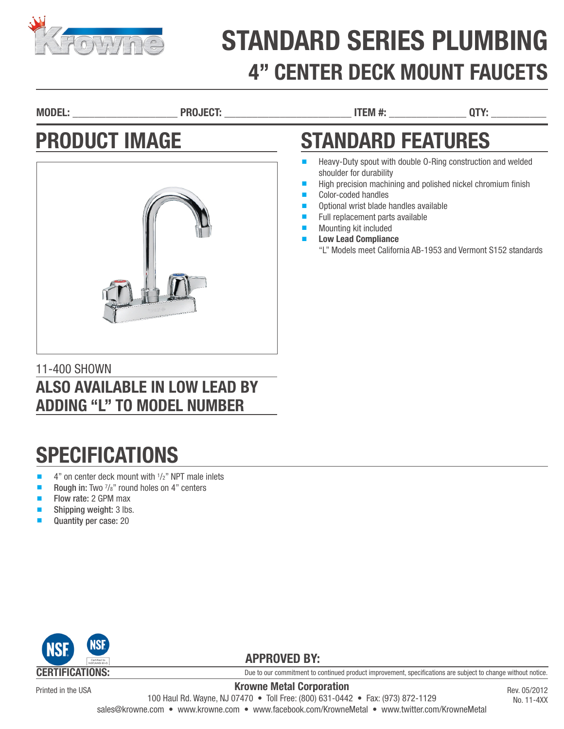

# STANDARD SERIES PLUMBING 4" CENTER DECK MOUNT FAUCETS

MODEL: \_\_\_\_\_\_\_\_\_\_\_\_\_\_\_\_\_\_\_ PROJECT: \_\_\_\_\_\_\_\_\_\_\_\_\_\_\_\_\_\_\_\_\_\_\_ ITEM #: \_\_\_\_\_\_\_\_\_\_\_\_\_\_ QTY: \_\_\_\_\_\_\_\_\_\_

shoulder for durability

Color-coded handles

Mounting kit included **Low Lead Compliance** 

STANDARD FEATURES

Optional wrist blade handles available Full replacement parts available

■ Heavy-Duty spout with double 0-Ring construction and welded

High precision machining and polished nickel chromium finish

"L" Models meet California AB-1953 and Vermont S152 standards

### PRODUCT IMAGE



#### 11-400 SHOWN ALSO AVAILABLE IN LOW LEAD BY ADDING "L" TO MODEL NUMBER

### **SPECIFICATIONS**

- $\blacksquare$  4" on center deck mount with  $1/2$ " NPT male inlets
- Rough in: Two  $\frac{7}{8}$ " round holes on 4" centers
- Flow rate: 2 GPM max
- Shipping weight: 3 lbs.
- Quantity per case: 20



Printed in the USA

Due to our commitment to continued product improvement, specifications are subject to change without notice.

Krowne Metal Corporation 100 Haul Rd. Wayne, NJ 07470 • Toll Free: (800) 631-0442 • Fax: (973) 872-1129 sales@krowne.com • www.krowne.com • www.facebook.com/KrowneMetal • www.twitter.com/KrowneMetal